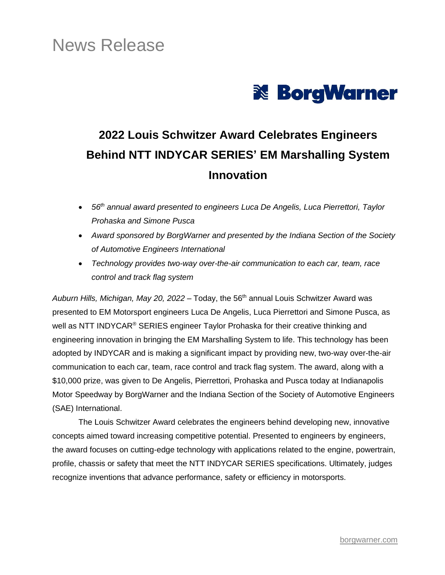# News Release



## **2022 Louis Schwitzer Award Celebrates Engineers Behind NTT INDYCAR SERIES' EM Marshalling System Innovation**

- *56th annual award presented to engineers Luca De Angelis, Luca Pierrettori, Taylor Prohaska and Simone Pusca*
- *Award sponsored by BorgWarner and presented by the Indiana Section of the Society of Automotive Engineers International*
- *Technology provides two-way over-the-air communication to each car, team, race control and track flag system*

Auburn Hills, Michigan, May 20, 2022 – Today, the 56<sup>th</sup> annual Louis Schwitzer Award was presented to EM Motorsport engineers Luca De Angelis, Luca Pierrettori and Simone Pusca, as well as NTT INDYCAR<sup>®</sup> SERIES engineer Taylor Prohaska for their creative thinking and engineering innovation in bringing the EM Marshalling System to life. This technology has been adopted by INDYCAR and is making a significant impact by providing new, two-way over-the-air communication to each car, team, race control and track flag system. The award, along with a \$10,000 prize, was given to De Angelis, Pierrettori, Prohaska and Pusca today at Indianapolis Motor Speedway by BorgWarner and the Indiana Section of the Society of Automotive Engineers (SAE) International.

The Louis Schwitzer Award celebrates the engineers behind developing new, innovative concepts aimed toward increasing competitive potential. Presented to engineers by engineers, the award focuses on cutting-edge technology with applications related to the engine, powertrain, profile, chassis or safety that meet the NTT INDYCAR SERIES specifications. Ultimately, judges recognize inventions that advance performance, safety or efficiency in motorsports.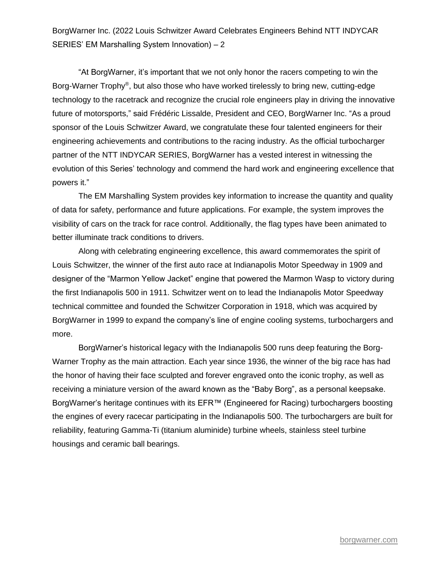BorgWarner Inc. (2022 Louis Schwitzer Award Celebrates Engineers Behind NTT INDYCAR SERIES' EM Marshalling System Innovation) – 2

"At BorgWarner, it's important that we not only honor the racers competing to win the Borg-Warner Trophy®, but also those who have worked tirelessly to bring new, cutting-edge technology to the racetrack and recognize the crucial role engineers play in driving the innovative future of motorsports," said Frédéric Lissalde, President and CEO, BorgWarner Inc. "As a proud sponsor of the Louis Schwitzer Award, we congratulate these four talented engineers for their engineering achievements and contributions to the racing industry. As the official turbocharger partner of the NTT INDYCAR SERIES, BorgWarner has a vested interest in witnessing the evolution of this Series' technology and commend the hard work and engineering excellence that powers it."

The EM Marshalling System provides key information to increase the quantity and quality of data for safety, performance and future applications. For example, the system improves the visibility of cars on the track for race control. Additionally, the flag types have been animated to better illuminate track conditions to drivers.

Along with celebrating engineering excellence, this award commemorates the spirit of Louis Schwitzer, the winner of the first auto race at Indianapolis Motor Speedway in 1909 and designer of the "Marmon Yellow Jacket" engine that powered the Marmon Wasp to victory during the first Indianapolis 500 in 1911. Schwitzer went on to lead the Indianapolis Motor Speedway technical committee and founded the Schwitzer Corporation in 1918, which was acquired by BorgWarner in 1999 to expand the company's line of engine cooling systems, turbochargers and more.

BorgWarner's historical legacy with the Indianapolis 500 runs deep featuring the Borg-Warner Trophy as the main attraction. Each year since 1936, the winner of the big race has had the honor of having their face sculpted and forever engraved onto the iconic trophy, as well as receiving a miniature version of the award known as the "Baby Borg", as a personal keepsake. BorgWarner's heritage continues with its EFR™ (Engineered for Racing) turbochargers boosting the engines of every racecar participating in the Indianapolis 500. The turbochargers are built for reliability, featuring Gamma-Ti (titanium aluminide) turbine wheels, stainless steel turbine housings and ceramic ball bearings.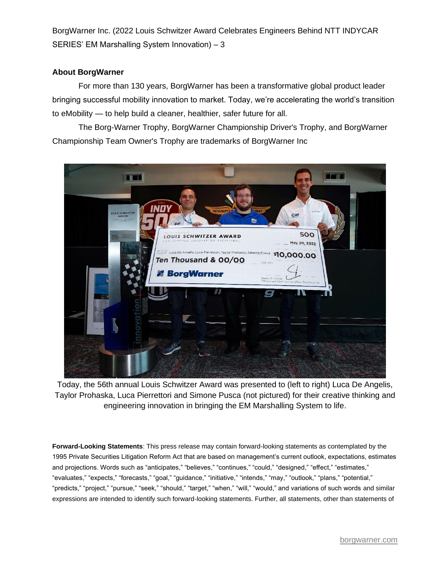BorgWarner Inc. (2022 Louis Schwitzer Award Celebrates Engineers Behind NTT INDYCAR SERIES' EM Marshalling System Innovation) – 3

### **About BorgWarner**

For more than 130 years, BorgWarner has been a transformative global product leader bringing successful mobility innovation to market. Today, we're accelerating the world's transition to eMobility — to help build a cleaner, healthier, safer future for all.

The Borg-Warner Trophy, BorgWarner Championship Driver's Trophy, and BorgWarner Championship Team Owner's Trophy are trademarks of BorgWarner Inc



Today, the 56th annual Louis Schwitzer Award was presented to (left to right) Luca De Angelis, Taylor Prohaska, Luca Pierrettori and Simone Pusca (not pictured) for their creative thinking and engineering innovation in bringing the EM Marshalling System to life.

**Forward-Looking Statements**: This press release may contain forward-looking statements as contemplated by the 1995 Private Securities Litigation Reform Act that are based on management's current outlook, expectations, estimates and projections. Words such as "anticipates," "believes," "continues," "could," "designed," "effect," "estimates," "evaluates," "expects," "forecasts," "goal," "guidance," "initiative," "intends," "may," "outlook," "plans," "potential," "predicts," "project," "pursue," "seek," "should," "target," "when," "will," "would," and variations of such words and similar expressions are intended to identify such forward-looking statements. Further, all statements, other than statements of